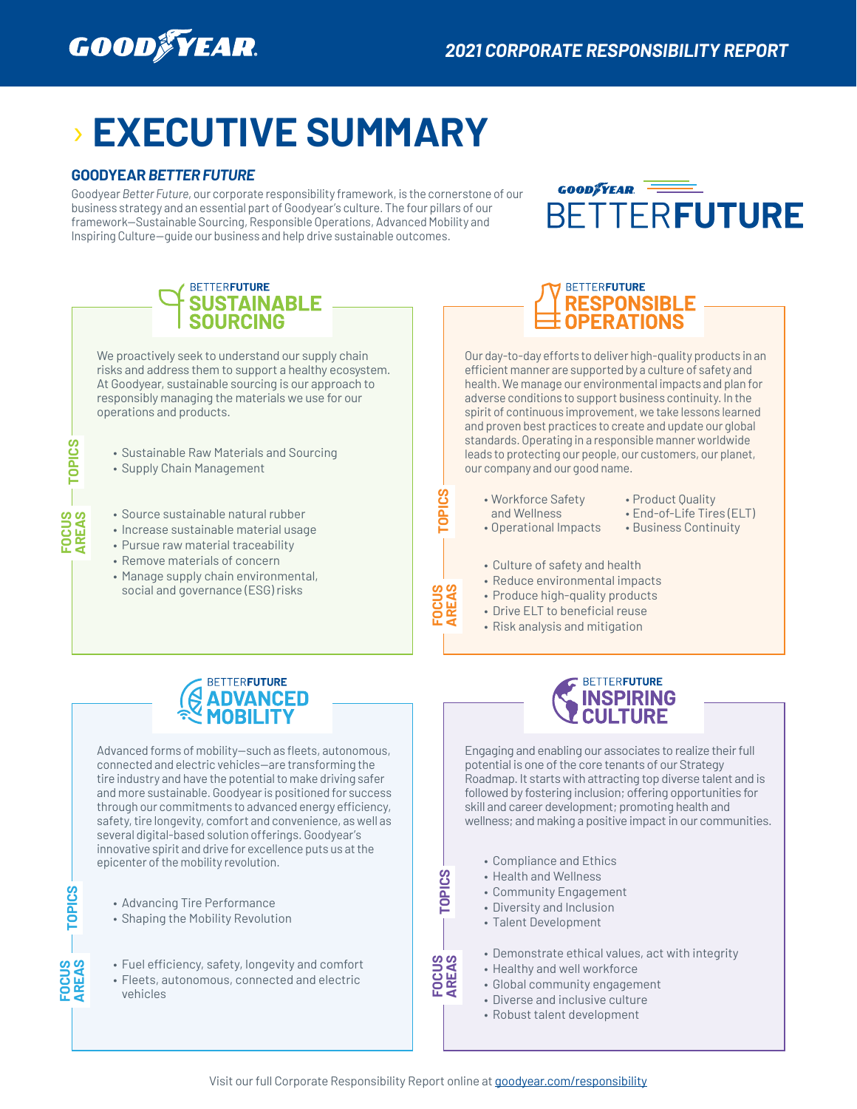

# › **EXECUTIVE SUMMARY**

### **GOODYEAR** *BETTER FUTURE*

Goodyear *Better Future*, our corporate responsibility framework, is the cornerstone of our business strategy and an essential part of Goodyear's culture. The four pillars of our framework—Sustainable Sourcing, Responsible Operations, Advanced Mobility and Inspiring Culture—guide our business and help drive sustainable outcomes.



## **BETTERFUTURE SUSTAINABLE<br>SOURCING** We proactively seek to understand our supply chain risks and address them to support a healthy ecosystem. At Goodyear, sustainable sourcing is our approach to responsibly managing the materials we use for our operations and products. • Sustainable Raw Materials and Sourcing • Supply Chain Management



Our day-to-day efforts to deliver high-quality products in an efficient manner are supported by a culture of safety and health. We manage our environmental impacts and plan for adverse conditions to support business continuity. In the spirit of continuous improvement, we take lessons learned and proven best practices to create and update our global standards. Operating in a responsible manner worldwide leads to protecting our people, our customers, our planet, our company and our good name.

- Workforce Safety and Wellness
- Product Quality
	- End-of-Life Tires (ELT)
- Operational Impacts
- Business Continuity
- Culture of safety and health
- Reduce environmental impacts
- Produce high-quality products
- Drive ELT to beneficial reuse
- Risk analysis and mitigation



• Source sustainable natural rubber • Increase sustainable material usage • Pursue raw material traceability • Remove materials of concern • Manage supply chain environmental, social and governance (ESG) risks

Advanced forms of mobility—such as fleets, autonomous, connected and electric vehicles—are transforming the tire industry and have the potential to make driving safer and more sustainable. Goodyear is positioned for success through our commitments to advanced energy efficiency, safety, tire longevity, comfort and convenience, as well as several digital-based solution offerings. Goodyear's innovative spirit and drive for excellence puts us at the epicenter of the mobility revolution.

• Advancing Tire Performance

**TOPICS TOPICS**

**FOCUS AREAS**

**TOPICS** 

**FOCUS AREAS**

**TOPICS** 

- Shaping the Mobility Revolution
- Fuel efficiency, safety, longevity and comfort
- Fleets, autonomous, connected and electric vehicles



Engaging and enabling our associates to realize their full potential is one of the core tenants of our Strategy Roadmap. It starts with attracting top diverse talent and is followed by fostering inclusion; offering opportunities for skill and career development; promoting health and wellness; and making a positive impact in our communities.

- Compliance and Ethics
- Health and Wellness
- Community Engagement
- Diversity and Inclusion
- Talent Development
- Demonstrate ethical values, act with integrity
- Healthy and well workforce
- Global community engagement
- Diverse and inclusive culture
- Robust talent development

**FOCUS AREAS**

**TOPICS** 

**SOLAOL**  $\begin{bmatrix} 0 & 0 & 0 \\ 0 & 0 & 0 \\ 0 & 0 & 0 \\ 0 & 0 & 0 \\ 0 & 0 & 0 \\ 0 & 0 & 0 \\ 0 & 0 & 0 \\ 0 & 0 & 0 \\ 0 & 0 & 0 \\ 0 & 0 & 0 \\ 0 & 0 & 0 \\ 0 & 0 & 0 \\ 0 & 0 & 0 \\ 0 & 0 & 0 \\ 0 & 0 & 0 \\ 0 & 0 & 0 \\ 0 & 0 & 0 \\ 0 & 0 & 0 \\ 0 & 0 & 0 & 0 \\ 0 & 0 & 0 & 0 \\ 0 & 0 & 0 & 0 \\ 0 & 0 & 0$ 

**FOCUS AREAS**

ပ္ပ ᅙ